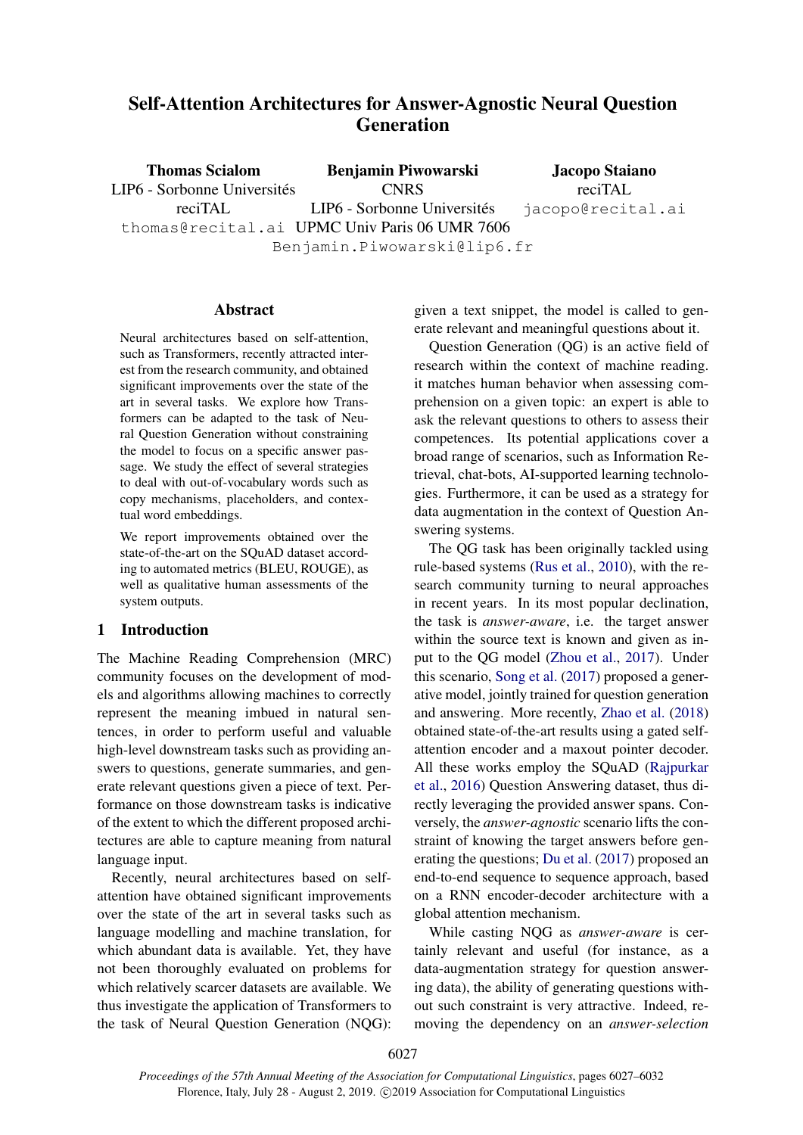# Self-Attention Architectures for Answer-Agnostic Neural Question Generation

Thomas Scialom LIP6 - Sorbonne Universités reciTAL thomas@recital.ai UPMC Univ Paris 06 UMR 7606 Benjamin Piwowarski **CNRS** LIP6 - Sorbonne Universités Benjamin.Piwowarski@lip6.fr Jacopo Staiano reciTAL jacopo@recital.ai

## Abstract

Neural architectures based on self-attention, such as Transformers, recently attracted interest from the research community, and obtained significant improvements over the state of the art in several tasks. We explore how Transformers can be adapted to the task of Neural Question Generation without constraining the model to focus on a specific answer passage. We study the effect of several strategies to deal with out-of-vocabulary words such as copy mechanisms, placeholders, and contextual word embeddings.

We report improvements obtained over the state-of-the-art on the SQuAD dataset according to automated metrics (BLEU, ROUGE), as well as qualitative human assessments of the system outputs.

## 1 Introduction

The Machine Reading Comprehension (MRC) community focuses on the development of models and algorithms allowing machines to correctly represent the meaning imbued in natural sentences, in order to perform useful and valuable high-level downstream tasks such as providing answers to questions, generate summaries, and generate relevant questions given a piece of text. Performance on those downstream tasks is indicative of the extent to which the different proposed architectures are able to capture meaning from natural language input.

Recently, neural architectures based on selfattention have obtained significant improvements over the state of the art in several tasks such as language modelling and machine translation, for which abundant data is available. Yet, they have not been thoroughly evaluated on problems for which relatively scarcer datasets are available. We thus investigate the application of Transformers to the task of Neural Question Generation (NQG): given a text snippet, the model is called to generate relevant and meaningful questions about it.

Question Generation (QG) is an active field of research within the context of machine reading. it matches human behavior when assessing comprehension on a given topic: an expert is able to ask the relevant questions to others to assess their competences. Its potential applications cover a broad range of scenarios, such as Information Retrieval, chat-bots, AI-supported learning technologies. Furthermore, it can be used as a strategy for data augmentation in the context of Question Answering systems.

The QG task has been originally tackled using rule-based systems [\(Rus et al.,](#page-5-0) [2010\)](#page-5-0), with the research community turning to neural approaches in recent years. In its most popular declination, the task is *answer-aware*, i.e. the target answer within the source text is known and given as input to the QG model [\(Zhou et al.,](#page-5-1) [2017\)](#page-5-1). Under this scenario, [Song et al.](#page-5-2) [\(2017\)](#page-5-2) proposed a generative model, jointly trained for question generation and answering. More recently, [Zhao et al.](#page-5-3) [\(2018\)](#page-5-3) obtained state-of-the-art results using a gated selfattention encoder and a maxout pointer decoder. All these works employ the SQuAD [\(Rajpurkar](#page-5-4) [et al.,](#page-5-4) [2016\)](#page-5-4) Question Answering dataset, thus directly leveraging the provided answer spans. Conversely, the *answer-agnostic* scenario lifts the constraint of knowing the target answers before generating the questions; [Du et al.](#page-5-5) [\(2017\)](#page-5-5) proposed an end-to-end sequence to sequence approach, based on a RNN encoder-decoder architecture with a global attention mechanism.

While casting NQG as *answer-aware* is certainly relevant and useful (for instance, as a data-augmentation strategy for question answering data), the ability of generating questions without such constraint is very attractive. Indeed, removing the dependency on an *answer-selection*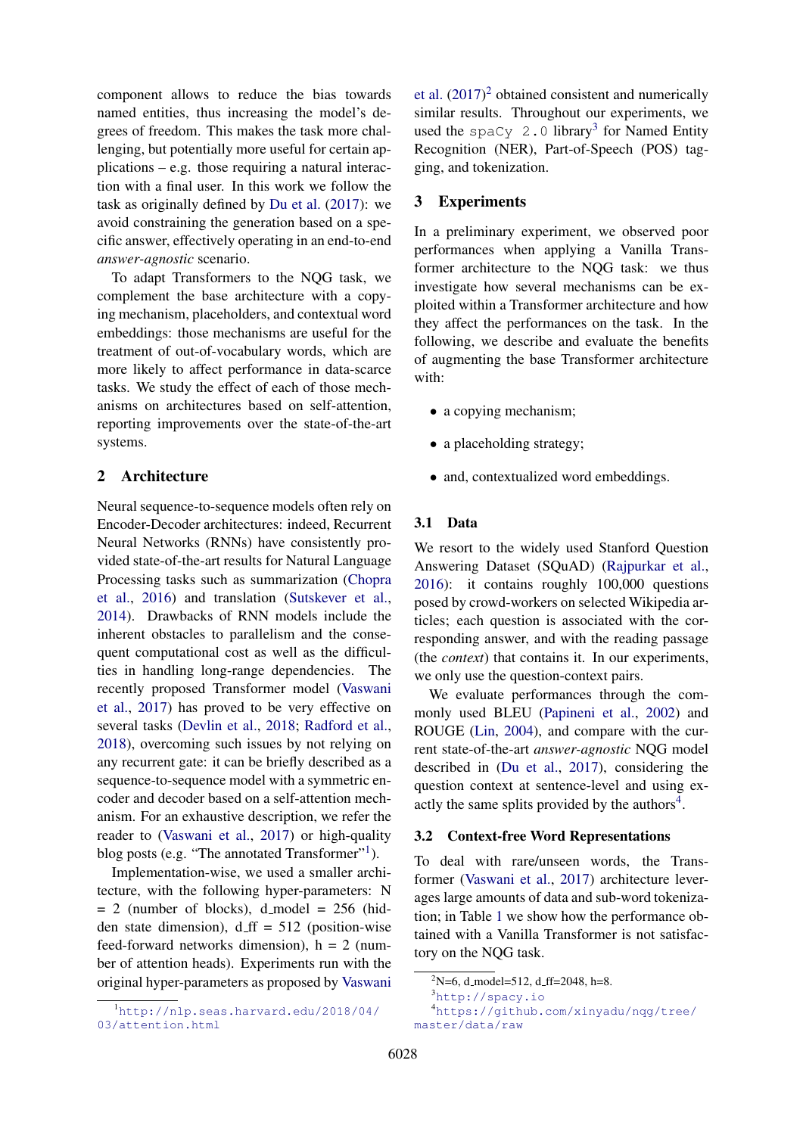component allows to reduce the bias towards named entities, thus increasing the model's degrees of freedom. This makes the task more challenging, but potentially more useful for certain applications – e.g. those requiring a natural interaction with a final user. In this work we follow the task as originally defined by [Du et al.](#page-5-5) [\(2017\)](#page-5-5): we avoid constraining the generation based on a specific answer, effectively operating in an end-to-end *answer-agnostic* scenario.

To adapt Transformers to the NQG task, we complement the base architecture with a copying mechanism, placeholders, and contextual word embeddings: those mechanisms are useful for the treatment of out-of-vocabulary words, which are more likely to affect performance in data-scarce tasks. We study the effect of each of those mechanisms on architectures based on self-attention, reporting improvements over the state-of-the-art systems.

## 2 Architecture

Neural sequence-to-sequence models often rely on Encoder-Decoder architectures: indeed, Recurrent Neural Networks (RNNs) have consistently provided state-of-the-art results for Natural Language Processing tasks such as summarization [\(Chopra](#page-5-6) [et al.,](#page-5-6) [2016\)](#page-5-6) and translation [\(Sutskever et al.,](#page-5-7) [2014\)](#page-5-7). Drawbacks of RNN models include the inherent obstacles to parallelism and the consequent computational cost as well as the difficulties in handling long-range dependencies. The recently proposed Transformer model [\(Vaswani](#page-5-8) [et al.,](#page-5-8) [2017\)](#page-5-8) has proved to be very effective on several tasks [\(Devlin et al.,](#page-5-9) [2018;](#page-5-9) [Radford et al.,](#page-5-10) [2018\)](#page-5-10), overcoming such issues by not relying on any recurrent gate: it can be briefly described as a sequence-to-sequence model with a symmetric encoder and decoder based on a self-attention mechanism. For an exhaustive description, we refer the reader to [\(Vaswani et al.,](#page-5-8) [2017\)](#page-5-8) or high-quality blog posts (e.g. "The annotated Transformer"<sup>[1](#page-1-0)</sup>).

Implementation-wise, we used a smaller architecture, with the following hyper-parameters: N  $= 2$  (number of blocks), d\_model  $= 256$  (hidden state dimension),  $d_{\text{eff}} = 512$  (position-wise feed-forward networks dimension),  $h = 2$  (number of attention heads). Experiments run with the original hyper-parameters as proposed by [Vaswani](#page-5-8)

[et al.](#page-5-8)  $(2017)^2$  $(2017)^2$  $(2017)^2$  obtained consistent and numerically similar results. Throughout our experiments, we used the  $space_Y$  2.0 library<sup>[3](#page-1-2)</sup> for Named Entity Recognition (NER), Part-of-Speech (POS) tagging, and tokenization.

### 3 Experiments

In a preliminary experiment, we observed poor performances when applying a Vanilla Transformer architecture to the NQG task: we thus investigate how several mechanisms can be exploited within a Transformer architecture and how they affect the performances on the task. In the following, we describe and evaluate the benefits of augmenting the base Transformer architecture with:

- a copying mechanism;
- a placeholding strategy;
- and, contextualized word embeddings.

#### 3.1 Data

We resort to the widely used Stanford Question Answering Dataset (SQuAD) [\(Rajpurkar et al.,](#page-5-4) [2016\)](#page-5-4): it contains roughly 100,000 questions posed by crowd-workers on selected Wikipedia articles; each question is associated with the corresponding answer, and with the reading passage (the *context*) that contains it. In our experiments, we only use the question-context pairs.

We evaluate performances through the commonly used BLEU [\(Papineni et al.,](#page-5-11) [2002\)](#page-5-11) and ROUGE [\(Lin,](#page-5-12) [2004\)](#page-5-12), and compare with the current state-of-the-art *answer-agnostic* NQG model described in [\(Du et al.,](#page-5-5) [2017\)](#page-5-5), considering the question context at sentence-level and using ex-actly the same splits provided by the authors<sup>[4](#page-1-3)</sup>.

#### <span id="page-1-4"></span>3.2 Context-free Word Representations

To deal with rare/unseen words, the Transformer [\(Vaswani et al.,](#page-5-8) [2017\)](#page-5-8) architecture leverages large amounts of data and sub-word tokenization; in Table [1](#page-2-0) we show how the performance obtained with a Vanilla Transformer is not satisfactory on the NQG task.

<sup>4</sup>[https://github.com/xinyadu/nqg/tree/](https://github.com/xinyadu/nqg/tree/master/data/raw) [master/data/raw](https://github.com/xinyadu/nqg/tree/master/data/raw)

<span id="page-1-0"></span><sup>1</sup>[http://nlp.seas.harvard.edu/2018/04/](#page-5-8) [03/attention.html](#page-5-8)

<span id="page-1-1"></span> $2^2$ N=6, d\_model=512, d\_ff=2048, h=8.

<span id="page-1-3"></span><span id="page-1-2"></span><sup>3</sup><http://spacy.io>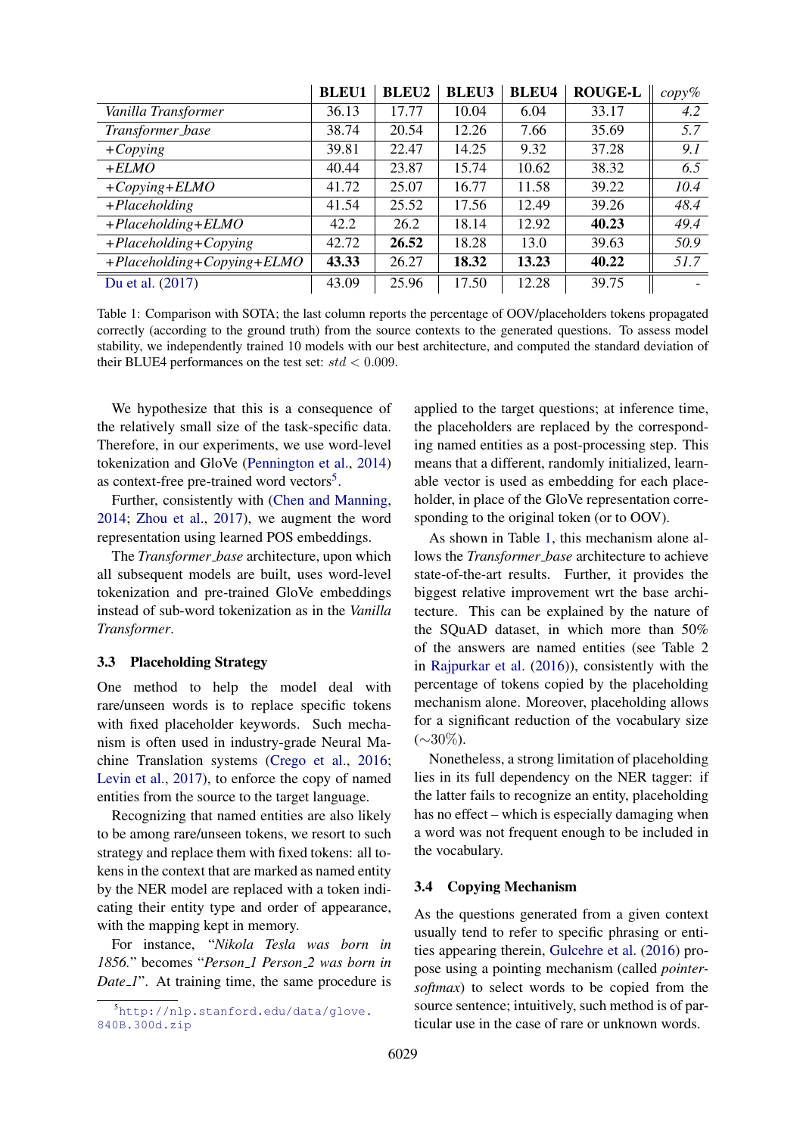<span id="page-2-0"></span>

|                                   | <b>BLEU1</b> | <b>BLEU2</b> | <b>BLEU3</b> | <b>BLEU4</b> | <b>ROUGE-L</b> | $copy\%$ |
|-----------------------------------|--------------|--------------|--------------|--------------|----------------|----------|
| Vanilla Transformer               | 36.13        | 17.77        | 10.04        | 6.04         | 33.17          | 4.2      |
| Transformer_base                  | 38.74        | 20.54        | 12.26        | 7.66         | 35.69          | 5.7      |
| $+ Copying$                       | 39.81        | 22.47        | 14.25        | 9.32         | 37.28          | 9.1      |
| $+ELMO$                           | 40.44        | 23.87        | 15.74        | 10.62        | 38.32          | 6.5      |
| $+Copying + ELMO$                 | 41.72        | 25.07        | 16.77        | 11.58        | 39.22          | 10.4     |
| $+ Placeholding$                  | 41.54        | 25.52        | 17.56        | 12.49        | 39.26          | 48.4     |
| $+ Placeholding + ELMO$           | 42.2         | 26.2         | 18.14        | 12.92        | 40.23          | 49.4     |
| $+ Placeholding + Copying$        | 42.72        | 26.52        | 18.28        | 13.0         | 39.63          | 50.9     |
| $+ Placeholding + Copying + ELMO$ | 43.33        | 26.27        | 18.32        | 13.23        | 40.22          | 51.7     |
| Du et al. (2017)                  | 43.09        | 25.96        | 17.50        | 12.28        | 39.75          |          |

Table 1: Comparison with SOTA; the last column reports the percentage of OOV/placeholders tokens propagated correctly (according to the ground truth) from the source contexts to the generated questions. To assess model stability, we independently trained 10 models with our best architecture, and computed the standard deviation of their BLUE4 performances on the test set:  $std < 0.009$ .

We hypothesize that this is a consequence of the relatively small size of the task-specific data. Therefore, in our experiments, we use word-level tokenization and GloVe [\(Pennington et al.,](#page-5-13) [2014\)](#page-5-13) as context-free pre-trained word vectors<sup>[5](#page-2-1)</sup>.

Further, consistently with [\(Chen and Manning,](#page-5-14) [2014;](#page-5-14) [Zhou et al.,](#page-5-1) [2017\)](#page-5-1), we augment the word representation using learned POS embeddings.

The *Transformer base* architecture, upon which all subsequent models are built, uses word-level tokenization and pre-trained GloVe embeddings instead of sub-word tokenization as in the *Vanilla Transformer*.

## 3.3 Placeholding Strategy

One method to help the model deal with rare/unseen words is to replace specific tokens with fixed placeholder keywords. Such mechanism is often used in industry-grade Neural Machine Translation systems [\(Crego et al.,](#page-5-15) [2016;](#page-5-15) [Levin et al.,](#page-5-16) [2017\)](#page-5-16), to enforce the copy of named entities from the source to the target language.

Recognizing that named entities are also likely to be among rare/unseen tokens, we resort to such strategy and replace them with fixed tokens: all tokens in the context that are marked as named entity by the NER model are replaced with a token indicating their entity type and order of appearance, with the mapping kept in memory.

For instance, "*Nikola Tesla was born in 1856.*" becomes "*Person 1 Person 2 was born in Date* <sup>1</sup>". At training time, the same procedure is

applied to the target questions; at inference time, the placeholders are replaced by the corresponding named entities as a post-processing step. This means that a different, randomly initialized, learnable vector is used as embedding for each placeholder, in place of the GloVe representation corresponding to the original token (or to OOV).

As shown in Table [1,](#page-2-0) this mechanism alone allows the *Transformer base* architecture to achieve state-of-the-art results. Further, it provides the biggest relative improvement wrt the base architecture. This can be explained by the nature of the SQuAD dataset, in which more than 50% of the answers are named entities (see Table 2 in [Rajpurkar et al.](#page-5-4) [\(2016\)](#page-5-4)), consistently with the percentage of tokens copied by the placeholding mechanism alone. Moreover, placeholding allows for a significant reduction of the vocabulary size  $(\sim 30\%).$ 

Nonetheless, a strong limitation of placeholding lies in its full dependency on the NER tagger: if the latter fails to recognize an entity, placeholding has no effect – which is especially damaging when a word was not frequent enough to be included in the vocabulary.

#### 3.4 Copying Mechanism

As the questions generated from a given context usually tend to refer to specific phrasing or entities appearing therein, [Gulcehre et al.](#page-5-17) [\(2016\)](#page-5-17) propose using a pointing mechanism (called *pointersoftmax*) to select words to be copied from the source sentence; intuitively, such method is of particular use in the case of rare or unknown words.

<span id="page-2-1"></span><sup>5</sup>[http://nlp.stanford.edu/data/glove.](http://nlp.stanford.edu/data/glove.840B.300d.zip) [840B.300d.zip](http://nlp.stanford.edu/data/glove.840B.300d.zip)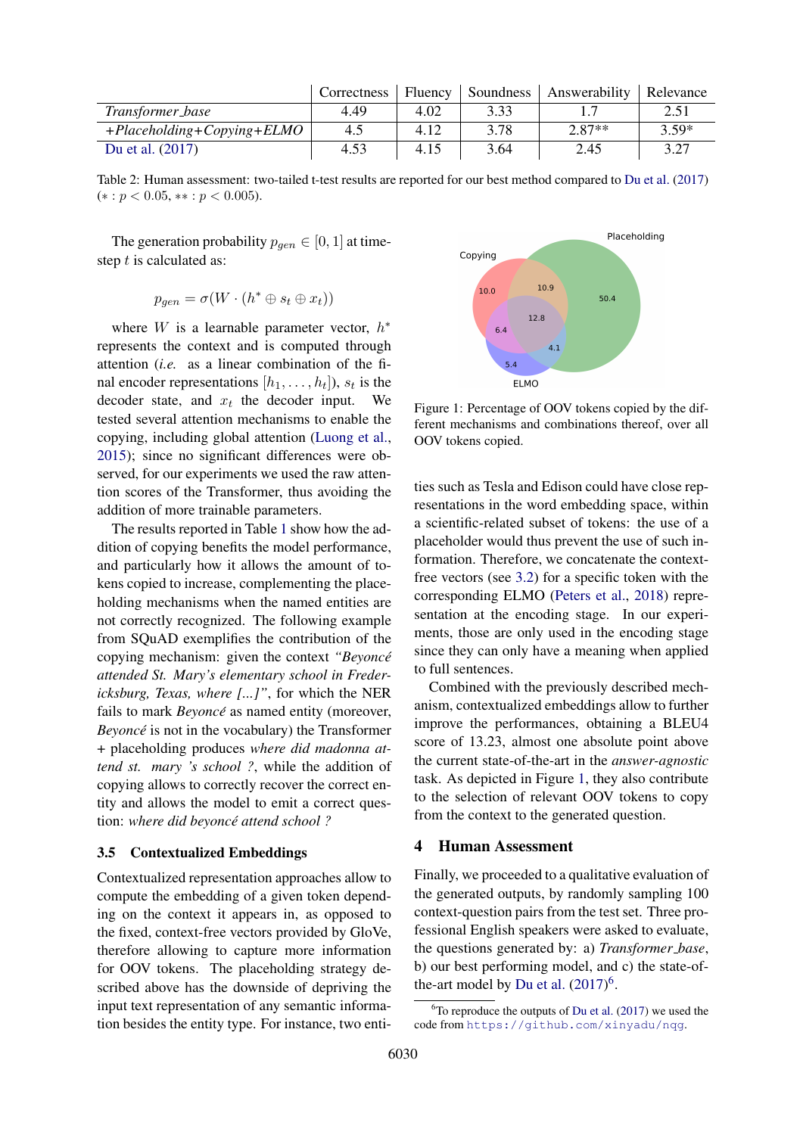<span id="page-3-2"></span>

|                                  | Correctness | Fluency | Soundness | Answerability | Relevance |
|----------------------------------|-------------|---------|-----------|---------------|-----------|
| Transformer_base                 | 4.49        | 4.02    | 3.33      |               | 2.51      |
| $+Placeholding + Copying + ELMO$ | 4.5         | 4.12    | 3.78      | $2.87**$      | $3.59*$   |
| Du et al. (2017)                 | 4.53        | 4.15    | 3.64      | 2.45          | 3.27      |

Table 2: Human assessment: two-tailed t-test results are reported for our best method compared to [Du et al.](#page-5-5) [\(2017\)](#page-5-5)  $(*: p < 0.05, **: p < 0.005).$ 

The generation probability  $p_{gen} \in [0, 1]$  at timestep t is calculated as:

$$
p_{gen} = \sigma(W \cdot (h^* \oplus s_t \oplus x_t))
$$

where W is a learnable parameter vector,  $h^*$ represents the context and is computed through attention (*i.e.* as a linear combination of the final encoder representations  $[h_1, \ldots, h_t]$ ),  $s_t$  is the decoder state, and  $x_t$  the decoder input. We tested several attention mechanisms to enable the copying, including global attention [\(Luong et al.,](#page-5-18) [2015\)](#page-5-18); since no significant differences were observed, for our experiments we used the raw attention scores of the Transformer, thus avoiding the addition of more trainable parameters.

The results reported in Table [1](#page-2-0) show how the addition of copying benefits the model performance, and particularly how it allows the amount of tokens copied to increase, complementing the placeholding mechanisms when the named entities are not correctly recognized. The following example from SQuAD exemplifies the contribution of the copying mechanism: given the context *"Beyonce´ attended St. Mary's elementary school in Fredericksburg, Texas, where [...]"*, for which the NER fails to mark *Beyoncé* as named entity (moreover, *Beyonce´* is not in the vocabulary) the Transformer + placeholding produces *where did madonna attend st. mary 's school ?*, while the addition of copying allows to correctly recover the correct entity and allows the model to emit a correct question: *where did beyonce attend school ? ´*

#### 3.5 Contextualized Embeddings

Contextualized representation approaches allow to compute the embedding of a given token depending on the context it appears in, as opposed to the fixed, context-free vectors provided by GloVe, therefore allowing to capture more information for OOV tokens. The placeholding strategy described above has the downside of depriving the input text representation of any semantic information besides the entity type. For instance, two enti-

<span id="page-3-0"></span>

Figure 1: Percentage of OOV tokens copied by the different mechanisms and combinations thereof, over all OOV tokens copied.

ties such as Tesla and Edison could have close representations in the word embedding space, within a scientific-related subset of tokens: the use of a placeholder would thus prevent the use of such information. Therefore, we concatenate the contextfree vectors (see [3.2\)](#page-1-4) for a specific token with the corresponding ELMO [\(Peters et al.,](#page-5-19) [2018\)](#page-5-19) representation at the encoding stage. In our experiments, those are only used in the encoding stage since they can only have a meaning when applied to full sentences.

Combined with the previously described mechanism, contextualized embeddings allow to further improve the performances, obtaining a BLEU4 score of 13.23, almost one absolute point above the current state-of-the-art in the *answer-agnostic* task. As depicted in Figure [1,](#page-3-0) they also contribute to the selection of relevant OOV tokens to copy from the context to the generated question.

#### 4 Human Assessment

Finally, we proceeded to a qualitative evaluation of the generated outputs, by randomly sampling 100 context-question pairs from the test set. Three professional English speakers were asked to evaluate, the questions generated by: a) *Transformer base*, b) our best performing model, and c) the state-of-the-art model by [Du et al.](#page-5-5)  $(2017)^6$  $(2017)^6$  $(2017)^6$ .

<span id="page-3-1"></span> $6T$ o reproduce the outputs of [Du et al.](#page-5-5) [\(2017\)](#page-5-5) we used the code from <https://github.com/xinyadu/nqg>.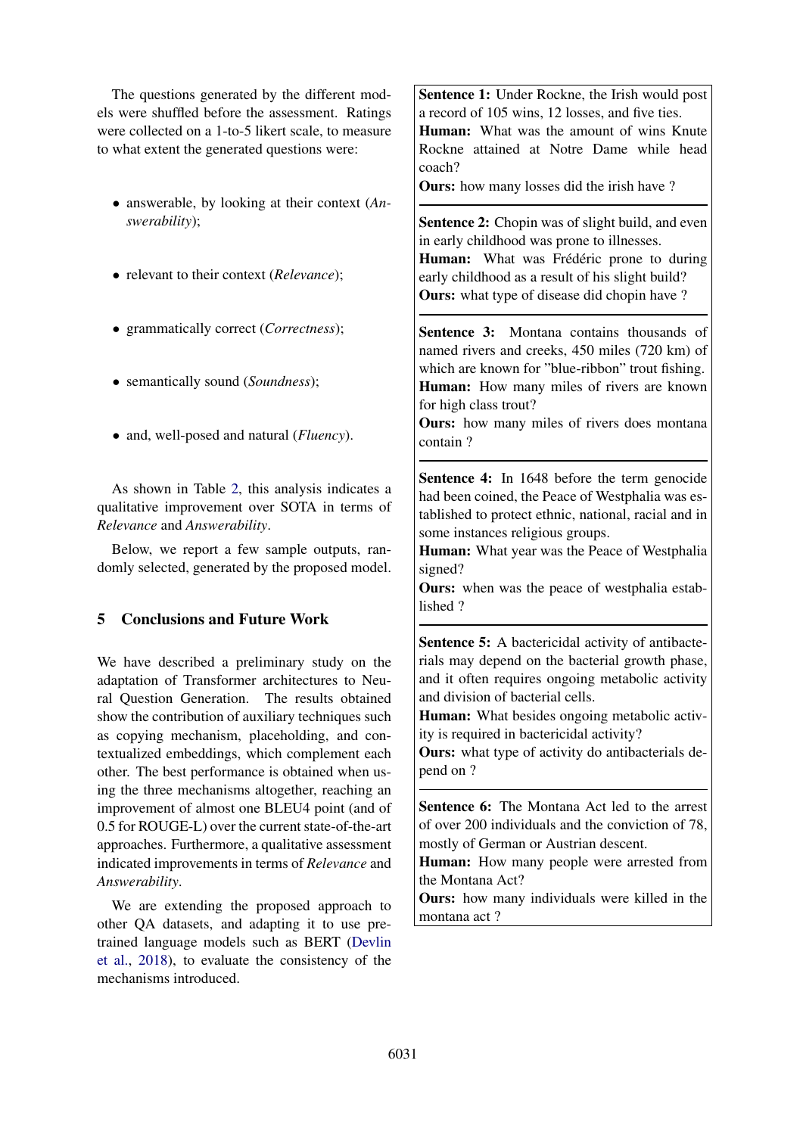The questions generated by the different models were shuffled before the assessment. Ratings were collected on a 1-to-5 likert scale, to measure to what extent the generated questions were:

- answerable, by looking at their context (*Answerability*);
- relevant to their context (*Relevance*);
- grammatically correct (*Correctness*);
- semantically sound (*Soundness*);
- and, well-posed and natural (*Fluency*).

As shown in Table [2,](#page-3-2) this analysis indicates a qualitative improvement over SOTA in terms of *Relevance* and *Answerability*.

Below, we report a few sample outputs, randomly selected, generated by the proposed model.

# 5 Conclusions and Future Work

We have described a preliminary study on the adaptation of Transformer architectures to Neural Question Generation. The results obtained show the contribution of auxiliary techniques such as copying mechanism, placeholding, and contextualized embeddings, which complement each other. The best performance is obtained when using the three mechanisms altogether, reaching an improvement of almost one BLEU4 point (and of 0.5 for ROUGE-L) over the current state-of-the-art approaches. Furthermore, a qualitative assessment indicated improvements in terms of *Relevance* and *Answerability*.

We are extending the proposed approach to other QA datasets, and adapting it to use pretrained language models such as BERT [\(Devlin](#page-5-9) [et al.,](#page-5-9) [2018\)](#page-5-9), to evaluate the consistency of the mechanisms introduced.

Sentence 1: Under Rockne, the Irish would post a record of 105 wins, 12 losses, and five ties. Human: What was the amount of wins Knute Rockne attained at Notre Dame while head coach?

Ours: how many losses did the irish have ?

Sentence 2: Chopin was of slight build, and even in early childhood was prone to illnesses. Human: What was Frédéric prone to during early childhood as a result of his slight build? **Ours:** what type of disease did chopin have?

Sentence 3: Montana contains thousands of named rivers and creeks, 450 miles (720 km) of which are known for "blue-ribbon" trout fishing. Human: How many miles of rivers are known for high class trout?

Ours: how many miles of rivers does montana contain ?

Sentence 4: In 1648 before the term genocide had been coined, the Peace of Westphalia was established to protect ethnic, national, racial and in some instances religious groups.

Human: What year was the Peace of Westphalia signed?

Ours: when was the peace of westphalia established ?

Sentence 5: A bactericidal activity of antibacterials may depend on the bacterial growth phase, and it often requires ongoing metabolic activity and division of bacterial cells.

Human: What besides ongoing metabolic activity is required in bactericidal activity?

Ours: what type of activity do antibacterials depend on ?

Sentence 6: The Montana Act led to the arrest of over 200 individuals and the conviction of 78, mostly of German or Austrian descent.

Human: How many people were arrested from the Montana Act?

Ours: how many individuals were killed in the montana act ?